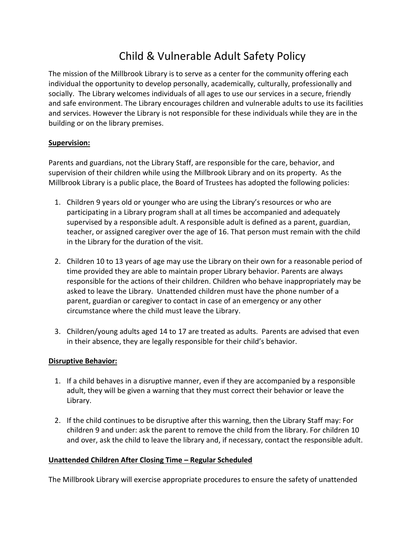# Child & Vulnerable Adult Safety Policy

The mission of the Millbrook Library is to serve as a center for the community offering each individual the opportunity to develop personally, academically, culturally, professionally and socially. The Library welcomes individuals of all ages to use our services in a secure, friendly and safe environment. The Library encourages children and vulnerable adults to use its facilities and services. However the Library is not responsible for these individuals while they are in the building or on the library premises.

## **Supervision:**

Parents and guardians, not the Library Staff, are responsible for the care, behavior, and supervision of their children while using the Millbrook Library and on its property. As the Millbrook Library is a public place, the Board of Trustees has adopted the following policies:

- 1. Children 9 years old or younger who are using the Library's resources or who are participating in a Library program shall at all times be accompanied and adequately supervised by a responsible adult. A responsible adult is defined as a parent, guardian, teacher, or assigned caregiver over the age of 16. That person must remain with the child in the Library for the duration of the visit.
- 2. Children 10 to 13 years of age may use the Library on their own for a reasonable period of time provided they are able to maintain proper Library behavior. Parents are always responsible for the actions of their children. Children who behave inappropriately may be asked to leave the Library. Unattended children must have the phone number of a parent, guardian or caregiver to contact in case of an emergency or any other circumstance where the child must leave the Library.
- 3. Children/young adults aged 14 to 17 are treated as adults. Parents are advised that even in their absence, they are legally responsible for their child's behavior.

# **Disruptive Behavior:**

- 1. If a child behaves in a disruptive manner, even if they are accompanied by a responsible adult, they will be given a warning that they must correct their behavior or leave the Library.
- 2. If the child continues to be disruptive after this warning, then the Library Staff may: For children 9 and under: ask the parent to remove the child from the library. For children 10 and over, ask the child to leave the library and, if necessary, contact the responsible adult.

# **Unattended Children After Closing Time – Regular Scheduled**

The Millbrook Library will exercise appropriate procedures to ensure the safety of unattended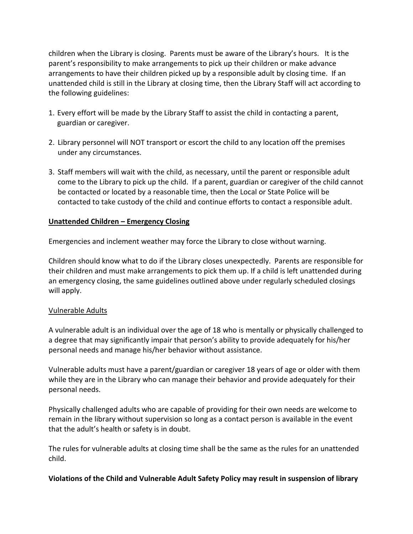children when the Library is closing. Parents must be aware of the Library's hours. It is the parent's responsibility to make arrangements to pick up their children or make advance arrangements to have their children picked up by a responsible adult by closing time. If an unattended child is still in the Library at closing time, then the Library Staff will act according to the following guidelines:

- 1. Every effort will be made by the Library Staff to assist the child in contacting a parent, guardian or caregiver.
- 2. Library personnel will NOT transport or escort the child to any location off the premises under any circumstances.
- 3. Staff members will wait with the child, as necessary, until the parent or responsible adult come to the Library to pick up the child. If a parent, guardian or caregiver of the child cannot be contacted or located by a reasonable time, then the Local or State Police will be contacted to take custody of the child and continue efforts to contact a responsible adult.

## **Unattended Children – Emergency Closing**

Emergencies and inclement weather may force the Library to close without warning.

Children should know what to do if the Library closes unexpectedly. Parents are responsible for their children and must make arrangements to pick them up. If a child is left unattended during an emergency closing, the same guidelines outlined above under regularly scheduled closings will apply.

#### Vulnerable Adults

A vulnerable adult is an individual over the age of 18 who is mentally or physically challenged to a degree that may significantly impair that person's ability to provide adequately for his/her personal needs and manage his/her behavior without assistance.

Vulnerable adults must have a parent/guardian or caregiver 18 years of age or older with them while they are in the Library who can manage their behavior and provide adequately for their personal needs.

Physically challenged adults who are capable of providing for their own needs are welcome to remain in the library without supervision so long as a contact person is available in the event that the adult's health or safety is in doubt.

The rules for vulnerable adults at closing time shall be the same as the rules for an unattended child.

#### **Violations of the Child and Vulnerable Adult Safety Policy may result in suspension of library**